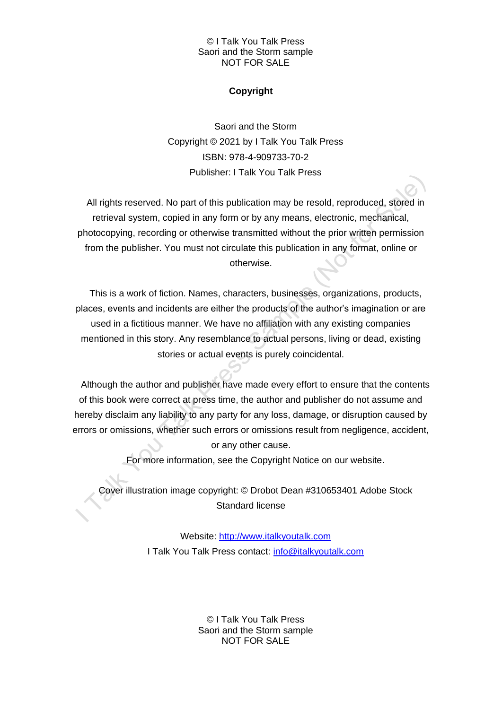# © I Talk You Talk Press Saori and the Storm sample NOT FOR SALE

# **Copyright**

Saori and the Storm Copyright © 2021 by I Talk You Talk Press ISBN: 978-4-909733-70-2 Publisher: I Talk You Talk Press

All rights reserved. No part of this publication may be resold, reproduced, stored in retrieval system, copied in any form or by any means, electronic, mechanical, photocopying, recording or otherwise transmitted without the prior written permission from the publisher. You must not circulate this publication in any format, online or otherwise.

This is a work of fiction. Names, characters, businesses, organizations, products, places, events and incidents are either the products of the author's imagination or are used in a fictitious manner. We have no affiliation with any existing companies mentioned in this story. Any resemblance to actual persons, living or dead, existing stories or actual events is purely coincidental.

Although the author and publisher have made every effort to ensure that the contents of this book were correct at press time, the author and publisher do not assume and hereby disclaim any liability to any party for any loss, damage, or disruption caused by errors or omissions, whether such errors or omissions result from negligence, accident, or any other cause.

For more information, see the Copyright Notice on our website.

Cover illustration image copyright: © Drobot Dean #310653401 Adobe Stock Standard license

> Website: [http://www.italkyoutalk.com](http://www.italkyoutalk.com/) I Talk You Talk Press contact: [info@italkyoutalk.com](mailto:info@italkyoutalk.com)

> > © I Talk You Talk Press Saori and the Storm sample NOT FOR SALE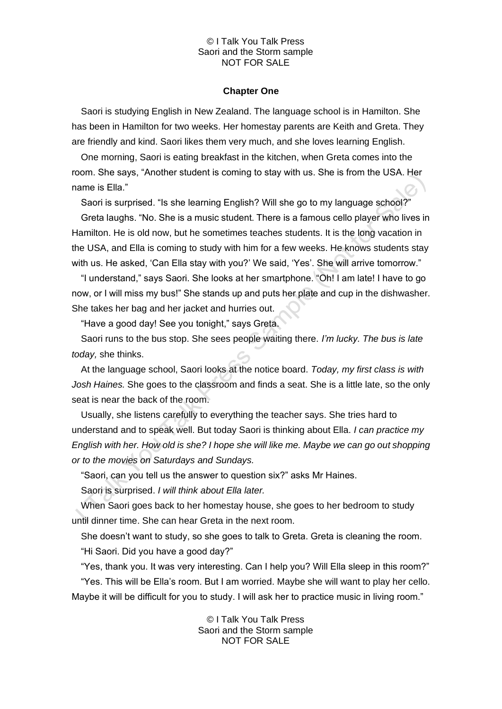### © I Talk You Talk Press Saori and the Storm sample NOT FOR SALE

#### **Chapter One**

Saori is studying English in New Zealand. The language school is in Hamilton. She has been in Hamilton for two weeks. Her homestay parents are Keith and Greta. They are friendly and kind. Saori likes them very much, and she loves learning English.

One morning, Saori is eating breakfast in the kitchen, when Greta comes into the room. She says, "Another student is coming to stay with us. She is from the USA. Her name is Ella."

Saori is surprised. "Is she learning English? Will she go to my language school?"

Greta laughs. "No. She is a music student. There is a famous cello player who lives in Hamilton. He is old now, but he sometimes teaches students. It is the long vacation in the USA, and Ella is coming to study with him for a few weeks. He knows students stay with us. He asked, 'Can Ella stay with you?' We said, 'Yes'. She will arrive tomorrow."

"I understand," says Saori. She looks at her smartphone. "Oh! I am late! I have to go now, or I will miss my bus!" She stands up and puts her plate and cup in the dishwasher. She takes her bag and her jacket and hurries out.

"Have a good day! See you tonight," says Greta.

Saori runs to the bus stop. She sees people waiting there. *I'm lucky. The bus is late today,* she thinks.

At the language school, Saori looks at the notice board. *Today, my first class is with Josh Haines.* She goes to the classroom and finds a seat. She is a little late, so the only seat is near the back of the room.

Usually, she listens carefully to everything the teacher says. She tries hard to understand and to speak well. But today Saori is thinking about Ella. *I can practice my English with her. How old is she? I hope she will like me. Maybe we can go out shopping or to the movies on Saturdays and Sundays.*

"Saori, can you tell us the answer to question six?" asks Mr Haines.

Saori is surprised. *I will think about Ella later.*

When Saori goes back to her homestay house, she goes to her bedroom to study until dinner time. She can hear Greta in the next room.

She doesn't want to study, so she goes to talk to Greta. Greta is cleaning the room. "Hi Saori. Did you have a good day?"

"Yes, thank you. It was very interesting. Can I help you? Will Ella sleep in this room?" "Yes. This will be Ella's room. But I am worried. Maybe she will want to play her cello. Maybe it will be difficult for you to study. I will ask her to practice music in living room."

> © I Talk You Talk Press Saori and the Storm sample NOT FOR SALE